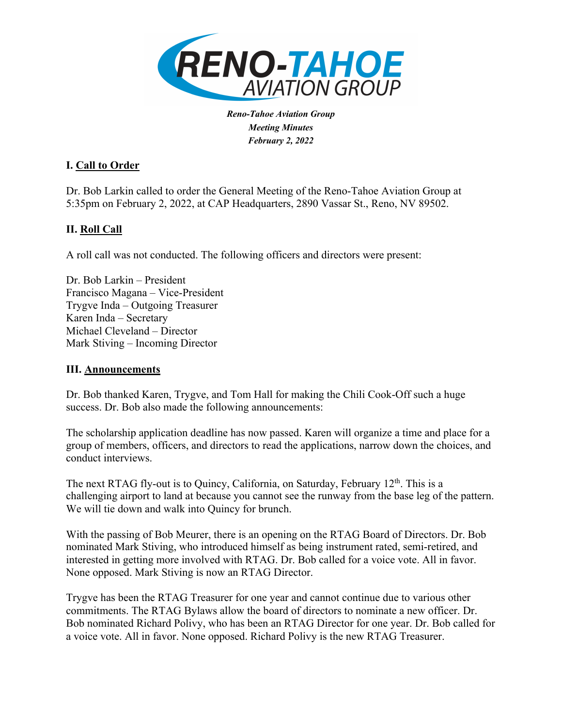

*Reno-Tahoe Aviation Group Meeting Minutes February 2, 2022*

## **I. Call to Order**

Dr. Bob Larkin called to order the General Meeting of the Reno-Tahoe Aviation Group at 5:35pm on February 2, 2022, at CAP Headquarters, 2890 Vassar St., Reno, NV 89502.

# **II. Roll Call**

A roll call was not conducted. The following officers and directors were present:

Dr. Bob Larkin – President Francisco Magana – Vice-President Trygve Inda – Outgoing Treasurer Karen Inda – Secretary Michael Cleveland – Director Mark Stiving – Incoming Director

### **III. Announcements**

Dr. Bob thanked Karen, Trygve, and Tom Hall for making the Chili Cook-Off such a huge success. Dr. Bob also made the following announcements:

The scholarship application deadline has now passed. Karen will organize a time and place for a group of members, officers, and directors to read the applications, narrow down the choices, and conduct interviews.

The next RTAG fly-out is to Quincy, California, on Saturday, February  $12<sup>th</sup>$ . This is a challenging airport to land at because you cannot see the runway from the base leg of the pattern. We will tie down and walk into Quincy for brunch.

With the passing of Bob Meurer, there is an opening on the RTAG Board of Directors. Dr. Bob nominated Mark Stiving, who introduced himself as being instrument rated, semi-retired, and interested in getting more involved with RTAG. Dr. Bob called for a voice vote. All in favor. None opposed. Mark Stiving is now an RTAG Director.

Trygve has been the RTAG Treasurer for one year and cannot continue due to various other commitments. The RTAG Bylaws allow the board of directors to nominate a new officer. Dr. Bob nominated Richard Polivy, who has been an RTAG Director for one year. Dr. Bob called for a voice vote. All in favor. None opposed. Richard Polivy is the new RTAG Treasurer.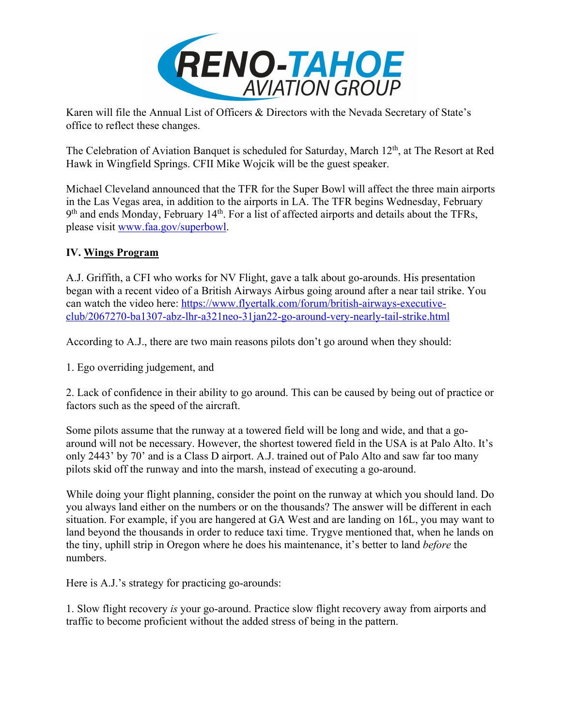

Karen will file the Annual List of Officers & Directors with the Nevada Secretary of State's office to reflect these changes.

The Celebration of Aviation Banquet is scheduled for Saturday, March 12<sup>th</sup>, at The Resort at Red Hawk in Wingfield Springs. CFII Mike Wojcik will be the guest speaker.

Michael Cleveland announced that the TFR for the Super Bowl will affect the three main airports in the Las Vegas area, in addition to the airports in LA. The TFR begins Wednesday, February  $9<sup>th</sup>$  and ends Monday, February 14<sup>th</sup>. For a list of affected airports and details about the TFRs, please visit www.faa.gov/superbowl.

# **IV. Wings Program**

A.J. Griffith, a CFI who works for NV Flight, gave a talk about go-arounds. His presentation began with a recent video of a British Airways Airbus going around after a near tail strike. You can watch the video here: https://www.flyertalk.com/forum/british-airways-executiveclub/2067270-ba1307-abz-lhr-a321neo-31jan22-go-around-very-nearly-tail-strike.html

According to A.J., there are two main reasons pilots don't go around when they should:

1. Ego overriding judgement, and

2. Lack of confidence in their ability to go around. This can be caused by being out of practice or factors such as the speed of the aircraft.

Some pilots assume that the runway at a towered field will be long and wide, and that a goaround will not be necessary. However, the shortest towered field in the USA is at Palo Alto. It's only 2443' by 70' and is a Class D airport. A.J. trained out of Palo Alto and saw far too many pilots skid off the runway and into the marsh, instead of executing a go-around.

While doing your flight planning, consider the point on the runway at which you should land. Do you always land either on the numbers or on the thousands? The answer will be different in each situation. For example, if you are hangered at GA West and are landing on 16L, you may want to land beyond the thousands in order to reduce taxi time. Trygve mentioned that, when he lands on the tiny, uphill strip in Oregon where he does his maintenance, it's better to land *before* the numbers.

Here is A.J.'s strategy for practicing go-arounds:

1. Slow flight recovery *is* your go-around. Practice slow flight recovery away from airports and traffic to become proficient without the added stress of being in the pattern.